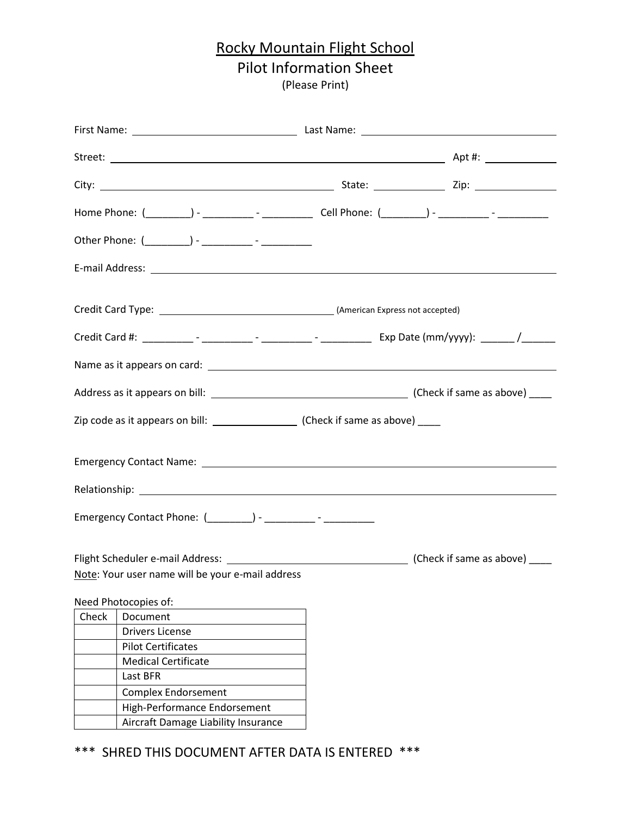### Rocky Mountain Flight School Pilot Information Sheet (Please Print)

|       | Emergency Contact Name: Name: Name: Name and Name and Name and Name and Name and Name and Name and Name and Na |  |
|-------|----------------------------------------------------------------------------------------------------------------|--|
|       |                                                                                                                |  |
|       |                                                                                                                |  |
|       |                                                                                                                |  |
|       | Note: Your user name will be your e-mail address                                                               |  |
|       | Need Photocopies of:                                                                                           |  |
| Check | Document                                                                                                       |  |
|       | <b>Drivers License</b>                                                                                         |  |
|       | <b>Pilot Certificates</b>                                                                                      |  |
|       | <b>Medical Certificate</b>                                                                                     |  |
|       | Last BFR                                                                                                       |  |
|       | <b>Complex Endorsement</b>                                                                                     |  |
|       | High-Performance Endorsement                                                                                   |  |
|       | Aircraft Damage Liability Insurance                                                                            |  |

\*\*\* SHRED THIS DOCUMENT AFTER DATA IS ENTERED \*\*\*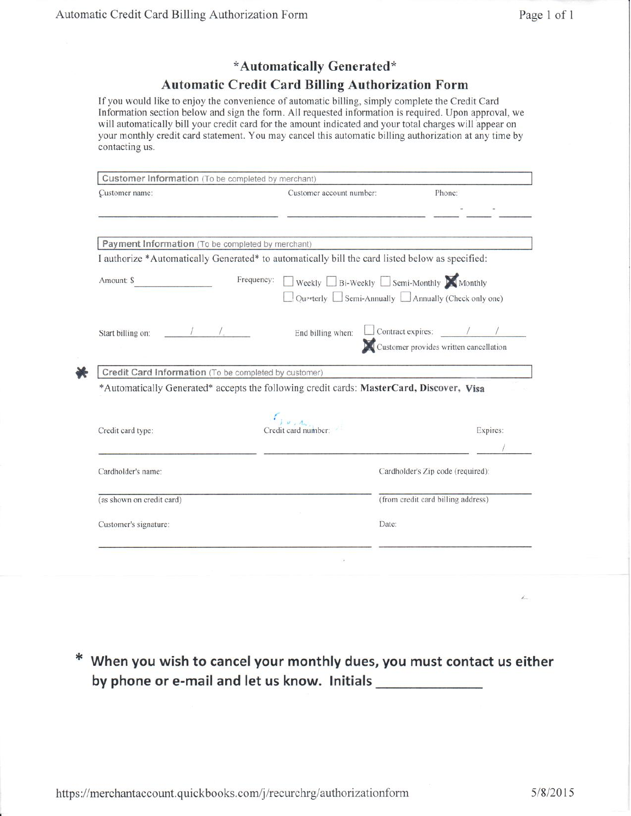### \*Automatically Generated\*

### **Automatic Credit Card Billing Authorization Form**

If you would like to enjoy the convenience of automatic billing, simply complete the Credit Card Information section below and sign the form. All requested information is required. Upon approval, we will automatically bill your credit card for the amount indicated and your total charges will appear on your monthly credit card statement. You may cancel this automatic billing authorization at any time by contacting us.

| Customer name:                                        | Customer account number:                                                                        | Phone:                                            |
|-------------------------------------------------------|-------------------------------------------------------------------------------------------------|---------------------------------------------------|
|                                                       |                                                                                                 |                                                   |
| Payment Information (To be completed by merchant)     |                                                                                                 |                                                   |
|                                                       | I authorize *Automatically Generated* to automatically bill the card listed below as specified: |                                                   |
| Amount: \$                                            | Weekly Bi-Weekly Semi-Monthly Monthly<br>Frequency:                                             |                                                   |
|                                                       |                                                                                                 | Quarterly Semi-Annually Annually (Check only one) |
| Start billing on:                                     | End billing when:                                                                               |                                                   |
|                                                       |                                                                                                 | Customer provides written cancellation            |
|                                                       |                                                                                                 |                                                   |
|                                                       |                                                                                                 |                                                   |
| Credit Card Information (To be completed by customer) | *Automatically Generated* accepts the following credit cards: MasterCard, Discover, Visa        |                                                   |
|                                                       |                                                                                                 |                                                   |
|                                                       |                                                                                                 |                                                   |
| Credit card type:                                     | Credit card number:                                                                             | Expires:                                          |
|                                                       |                                                                                                 |                                                   |
| Cardholder's name:                                    |                                                                                                 | Cardholder's Zip code (required):                 |
|                                                       |                                                                                                 | (from credit card billing address)                |
| (as shown on credit card)<br>Customer's signature:    | Date:                                                                                           |                                                   |

\* When you wish to cancel your monthly dues, you must contact us either by phone or e-mail and let us know. Initials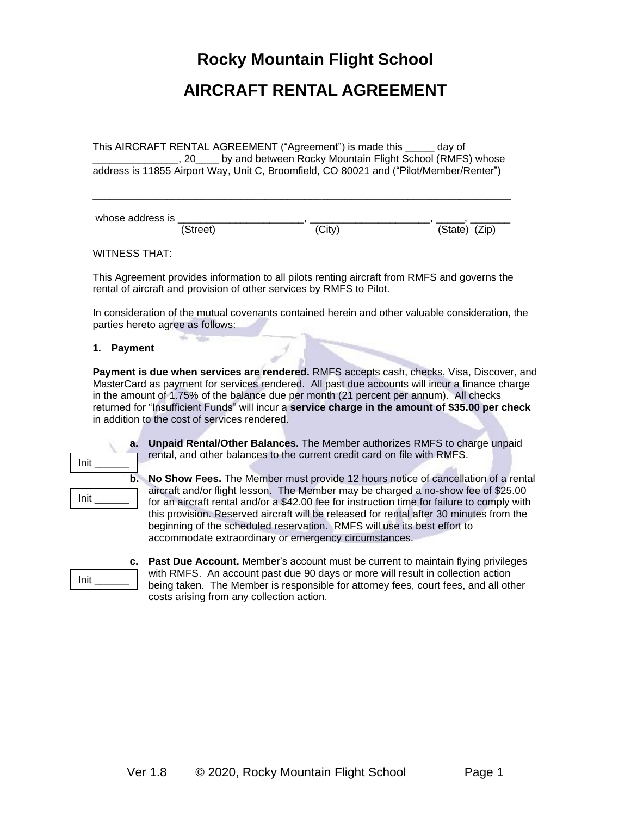### **Rocky Mountain Flight School**

### **AIRCRAFT RENTAL AGREEMENT**

This AIRCRAFT RENTAL AGREEMENT ("Agreement") is made this \_\_\_\_\_ day of 20\_\_\_\_\_ by and between Rocky Mountain Flight School (RMFS) whose address is 11855 Airport Way, Unit C, Broomfield, CO 80021 and ("Pilot/Member/Renter")

\_\_\_\_\_\_\_\_\_\_\_\_\_\_\_\_\_\_\_\_\_\_\_\_\_\_\_\_\_\_\_\_\_\_\_\_\_\_\_\_\_\_\_\_\_\_\_\_\_\_\_\_\_\_\_\_\_\_\_\_\_\_\_\_\_\_\_\_\_\_\_\_\_

whose address is (Street) (City) (State) (Zip)

WITNESS THAT:

This Agreement provides information to all pilots renting aircraft from RMFS and governs the rental of aircraft and provision of other services by RMFS to Pilot.

In consideration of the mutual covenants contained herein and other valuable consideration, the parties hereto agree as follows:

#### **1. Payment**

**Payment is due when services are rendered.** RMFS accepts cash, checks, Visa, Discover, and MasterCard as payment for services rendered. All past due accounts will incur a finance charge in the amount of 1.75% of the balance due per month (21 percent per annum). All checks returned for "Insufficient Funds" will incur a **service charge in the amount of \$35.00 per check** in addition to the cost of services rendered.

| a.                      | Un   |
|-------------------------|------|
| Init                    | rer  |
| b.                      | No   |
|                         | airo |
| $Init$ <sub>_____</sub> | for  |
|                         | this |
|                         | be   |
|                         | aco  |
|                         |      |

Init \_\_\_\_\_\_

**paid Rental/Other Balances.** The Member authorizes RMFS to charge unpaid rtal, and other balances to the current credit card on file with RMFS.

**Show Fees.** The Member must provide 12 hours notice of cancellation of a rental craft and/or flight lesson. The Member may be charged a no-show fee of \$25.00 an aircraft rental and/or a \$42.00 fee for instruction time for failure to comply with s provision. Reserved aircraft will be released for rental after 30 minutes from the ginning of the scheduled reservation. RMFS will use its best effort to commodate extraordinary or emergency circumstances.

**c. Past Due Account.** Member's account must be current to maintain flying privileges with RMFS. An account past due 90 days or more will result in collection action being taken. The Member is responsible for attorney fees, court fees, and all other costs arising from any collection action.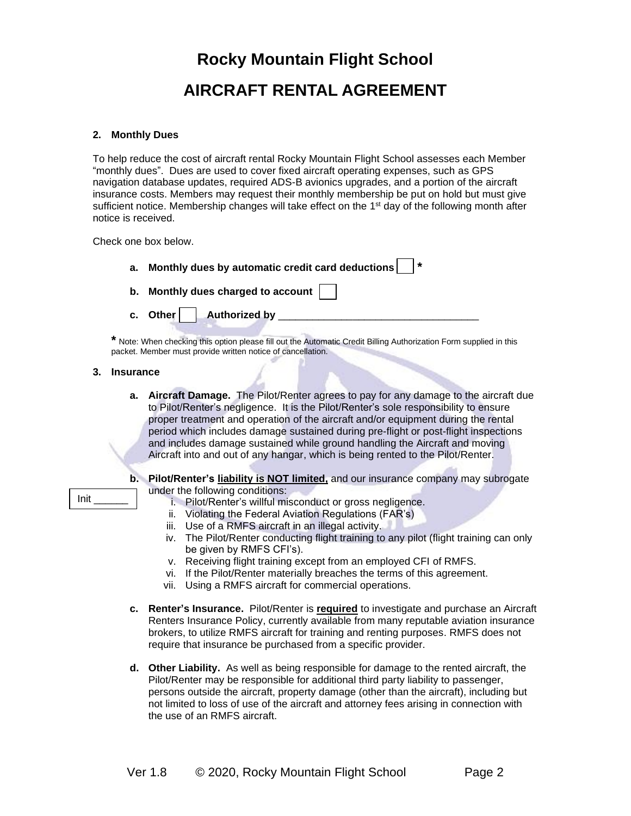### **2. Monthly Dues**

To help reduce the cost of aircraft rental Rocky Mountain Flight School assesses each Member "monthly dues". Dues are used to cover fixed aircraft operating expenses, such as GPS navigation database updates, required ADS-B avionics upgrades, and a portion of the aircraft insurance costs. Members may request their monthly membership be put on hold but must give sufficient notice. Membership changes will take effect on the  $1<sup>st</sup>$  day of the following month after notice is received.

Check one box below.

| а. | Monthly dues by automatic credit card deductions    *                                                                                                                             |
|----|-----------------------------------------------------------------------------------------------------------------------------------------------------------------------------------|
|    | b. Monthly dues charged to account $\vert \vert$                                                                                                                                  |
|    | c. Other   Authorized by ____                                                                                                                                                     |
|    | * Note: When checking this option please fill out the Automatic Credit Billing Authorization Form supplied in this<br>packet. Member must provide written notice of cancellation. |

#### **3. Insurance**

**a. Aircraft Damage.** The Pilot/Renter agrees to pay for any damage to the aircraft due to Pilot/Renter's negligence. It is the Pilot/Renter's sole responsibility to ensure proper treatment and operation of the aircraft and/or equipment during the rental period which includes damage sustained during pre-flight or post-flight inspections and includes damage sustained while ground handling the Aircraft and moving Aircraft into and out of any hangar, which is being rented to the Pilot/Renter.

### Init \_\_\_\_\_\_

- **b. Pilot/Renter's liability is NOT limited,** and our insurance company may subrogate under the following conditions:
	- i. Pilot/Renter's willful misconduct or gross negligence.
	- ii. Violating the Federal Aviation Regulations (FAR's)
	- iii. Use of a RMFS aircraft in an illegal activity.
	- iv. The Pilot/Renter conducting flight training to any pilot (flight training can only be given by RMFS CFI's).
	- v. Receiving flight training except from an employed CFI of RMFS.
	- vi. If the Pilot/Renter materially breaches the terms of this agreement.
	- vii. Using a RMFS aircraft for commercial operations.
- **c. Renter's Insurance.** Pilot/Renter is **required** to investigate and purchase an Aircraft Renters Insurance Policy, currently available from many reputable aviation insurance brokers, to utilize RMFS aircraft for training and renting purposes. RMFS does not require that insurance be purchased from a specific provider.
- **d. Other Liability.** As well as being responsible for damage to the rented aircraft, the Pilot/Renter may be responsible for additional third party liability to passenger, persons outside the aircraft, property damage (other than the aircraft), including but not limited to loss of use of the aircraft and attorney fees arising in connection with the use of an RMFS aircraft.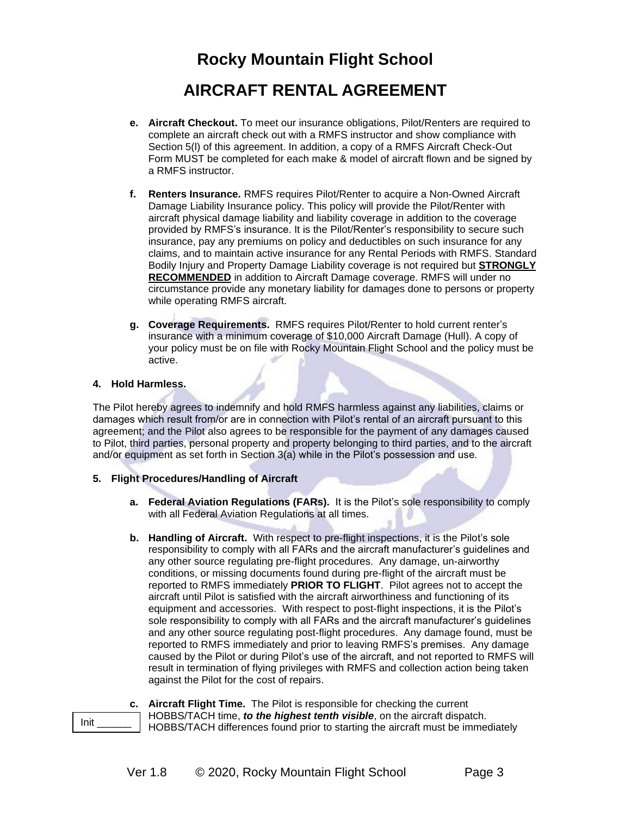- **e. Aircraft Checkout.** To meet our insurance obligations, Pilot/Renters are required to complete an aircraft check out with a RMFS instructor and show compliance with Section 5(l) of this agreement. In addition, a copy of a RMFS Aircraft Check-Out Form MUST be completed for each make & model of aircraft flown and be signed by a RMFS instructor.
- **f. Renters Insurance.** RMFS requires Pilot/Renter to acquire a Non-Owned Aircraft Damage Liability Insurance policy. This policy will provide the Pilot/Renter with aircraft physical damage liability and liability coverage in addition to the coverage provided by RMFS's insurance. It is the Pilot/Renter's responsibility to secure such insurance, pay any premiums on policy and deductibles on such insurance for any claims, and to maintain active insurance for any Rental Periods with RMFS. Standard Bodily Injury and Property Damage Liability coverage is not required but **STRONGLY RECOMMENDED** in addition to Aircraft Damage coverage. RMFS will under no circumstance provide any monetary liability for damages done to persons or property while operating RMFS aircraft.
- **g. Coverage Requirements.** RMFS requires Pilot/Renter to hold current renter's insurance with a minimum coverage of \$10,000 Aircraft Damage (Hull). A copy of your policy must be on file with Rocky Mountain Flight School and the policy must be active.

### **4. Hold Harmless.**

The Pilot hereby agrees to indemnify and hold RMFS harmless against any liabilities, claims or damages which result from/or are in connection with Pilot's rental of an aircraft pursuant to this agreement; and the Pilot also agrees to be responsible for the payment of any damages caused to Pilot, third parties, personal property and property belonging to third parties, and to the aircraft and/or equipment as set forth in Section 3(a) while in the Pilot's possession and use.

### **5. Flight Procedures/Handling of Aircraft**

- **a. Federal Aviation Regulations (FARs).** It is the Pilot's sole responsibility to comply with all Federal Aviation Regulations at all times.
- **b. Handling of Aircraft.** With respect to pre-flight inspections, it is the Pilot's sole responsibility to comply with all FARs and the aircraft manufacturer's guidelines and any other source regulating pre-flight procedures. Any damage, un-airworthy conditions, or missing documents found during pre-flight of the aircraft must be reported to RMFS immediately **PRIOR TO FLIGHT**. Pilot agrees not to accept the aircraft until Pilot is satisfied with the aircraft airworthiness and functioning of its equipment and accessories. With respect to post-flight inspections, it is the Pilot's sole responsibility to comply with all FARs and the aircraft manufacturer's guidelines and any other source regulating post-flight procedures. Any damage found, must be reported to RMFS immediately and prior to leaving RMFS's premises. Any damage caused by the Pilot or during Pilot's use of the aircraft, and not reported to RMFS will result in termination of flying privileges with RMFS and collection action being taken against the Pilot for the cost of repairs.

### **c. Aircraft Flight Time.** The Pilot is responsible for checking the current

HOBBS/TACH time, *to the highest tenth visible*, on the aircraft dispatch.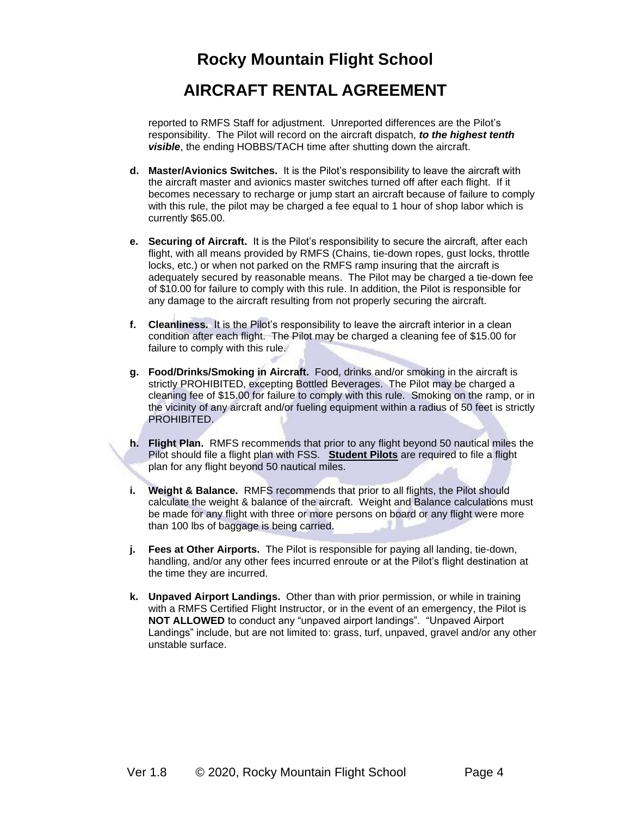reported to RMFS Staff for adjustment. Unreported differences are the Pilot's responsibility. The Pilot will record on the aircraft dispatch, *to the highest tenth visible*, the ending HOBBS/TACH time after shutting down the aircraft.

- **d. Master/Avionics Switches.** It is the Pilot's responsibility to leave the aircraft with the aircraft master and avionics master switches turned off after each flight. If it becomes necessary to recharge or jump start an aircraft because of failure to comply with this rule, the pilot may be charged a fee equal to 1 hour of shop labor which is currently \$65.00.
- **e. Securing of Aircraft.** It is the Pilot's responsibility to secure the aircraft, after each flight, with all means provided by RMFS (Chains, tie-down ropes, gust locks, throttle locks, etc.) or when not parked on the RMFS ramp insuring that the aircraft is adequately secured by reasonable means. The Pilot may be charged a tie-down fee of \$10.00 for failure to comply with this rule. In addition, the Pilot is responsible for any damage to the aircraft resulting from not properly securing the aircraft.
- **f. Cleanliness.** It is the Pilot's responsibility to leave the aircraft interior in a clean condition after each flight. The Pilot may be charged a cleaning fee of \$15.00 for failure to comply with this rule.
- **g. Food/Drinks/Smoking in Aircraft.** Food, drinks and/or smoking in the aircraft is strictly PROHIBITED, excepting Bottled Beverages. The Pilot may be charged a cleaning fee of \$15.00 for failure to comply with this rule. Smoking on the ramp, or in the vicinity of any aircraft and/or fueling equipment within a radius of 50 feet is strictly PROHIBITED.
- **h. Flight Plan.** RMFS recommends that prior to any flight beyond 50 nautical miles the Pilot should file a flight plan with FSS. **Student Pilots** are required to file a flight plan for any flight beyond 50 nautical miles.
- **i. Weight & Balance.** RMFS recommends that prior to all flights, the Pilot should calculate the weight & balance of the aircraft. Weight and Balance calculations must be made for any flight with three or more persons on board or any flight were more than 100 lbs of baggage is being carried.
- **j. Fees at Other Airports.** The Pilot is responsible for paying all landing, tie-down, handling, and/or any other fees incurred enroute or at the Pilot's flight destination at the time they are incurred.
- **k. Unpaved Airport Landings.** Other than with prior permission, or while in training with a RMFS Certified Flight Instructor, or in the event of an emergency, the Pilot is **NOT ALLOWED** to conduct any "unpaved airport landings". "Unpaved Airport Landings" include, but are not limited to: grass, turf, unpaved, gravel and/or any other unstable surface.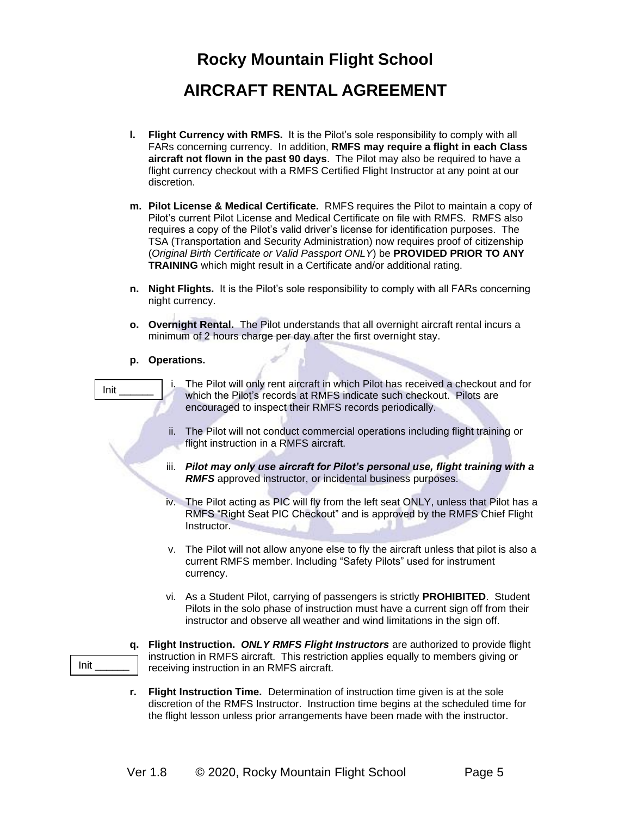- **l. Flight Currency with RMFS.** It is the Pilot's sole responsibility to comply with all FARs concerning currency. In addition, **RMFS may require a flight in each Class aircraft not flown in the past 90 days**. The Pilot may also be required to have a flight currency checkout with a RMFS Certified Flight Instructor at any point at our discretion.
- **m. Pilot License & Medical Certificate.** RMFS requires the Pilot to maintain a copy of Pilot's current Pilot License and Medical Certificate on file with RMFS. RMFS also requires a copy of the Pilot's valid driver's license for identification purposes. The TSA (Transportation and Security Administration) now requires proof of citizenship (*Original Birth Certificate or Valid Passport ONLY*) be **PROVIDED PRIOR TO ANY TRAINING** which might result in a Certificate and/or additional rating.
- **n. Night Flights.** It is the Pilot's sole responsibility to comply with all FARs concerning night currency.
- **o. Overnight Rental.** The Pilot understands that all overnight aircraft rental incurs a minimum of 2 hours charge per day after the first overnight stay.

эī

**p. Operations.**

| Init       | The Pilot will only rent aircraft in which Pilot has received a checkout and for<br>which the Pilot's records at RMFS indicate such checkout. Pilots are<br>encouraged to inspect their RMFS records periodically.                                    |
|------------|-------------------------------------------------------------------------------------------------------------------------------------------------------------------------------------------------------------------------------------------------------|
|            | ii. The Pilot will not conduct commercial operations including flight training or<br>flight instruction in a RMFS aircraft.                                                                                                                           |
|            | iii. Pilot may only use aircraft for Pilot's personal use, flight training with a<br><b>RMFS</b> approved instructor, or incidental business purposes.                                                                                                |
|            | iv. The Pilot acting as PIC will fly from the left seat ONLY, unless that Pilot has a<br>RMFS "Right Seat PIC Checkout" and is approved by the RMFS Chief Flight<br>Instructor.                                                                       |
|            | v. The Pilot will not allow anyone else to fly the aircraft unless that pilot is also a<br>current RMFS member. Including "Safety Pilots" used for instrument<br>currency.                                                                            |
|            | vi. As a Student Pilot, carrying of passengers is strictly <b>PROHIBITED</b> . Student<br>Pilots in the solo phase of instruction must have a current sign off from their<br>instructor and observe all weather and wind limitations in the sign off. |
| q.<br>Init | Flight Instruction. ONLY RMFS Flight Instructors are authorized to provide flight<br>instruction in RMFS aircraft. This restriction applies equally to members giving or<br>receiving instruction in an RMFS aircraft.                                |
| r.         | Flight Instruction Time. Determination of instruction time given is at the sole<br>discretion of the RMFS Instructor. Instruction time begins at the scheduled time for                                                                               |

the flight lesson unless prior arrangements have been made with the instructor.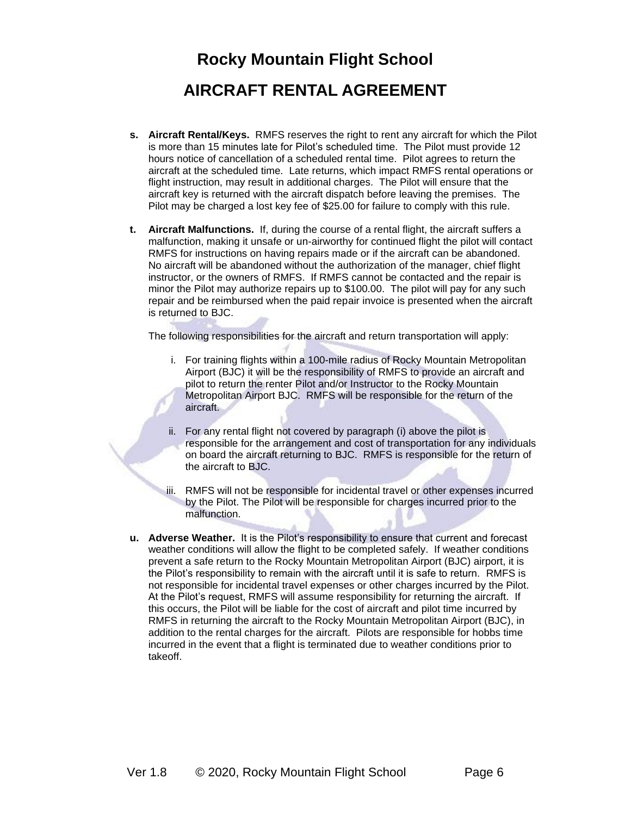- **s. Aircraft Rental/Keys.** RMFS reserves the right to rent any aircraft for which the Pilot is more than 15 minutes late for Pilot's scheduled time. The Pilot must provide 12 hours notice of cancellation of a scheduled rental time. Pilot agrees to return the aircraft at the scheduled time. Late returns, which impact RMFS rental operations or flight instruction, may result in additional charges. The Pilot will ensure that the aircraft key is returned with the aircraft dispatch before leaving the premises. The Pilot may be charged a lost key fee of \$25.00 for failure to comply with this rule.
- **t. Aircraft Malfunctions.** If, during the course of a rental flight, the aircraft suffers a malfunction, making it unsafe or un-airworthy for continued flight the pilot will contact RMFS for instructions on having repairs made or if the aircraft can be abandoned. No aircraft will be abandoned without the authorization of the manager, chief flight instructor, or the owners of RMFS. If RMFS cannot be contacted and the repair is minor the Pilot may authorize repairs up to \$100.00. The pilot will pay for any such repair and be reimbursed when the paid repair invoice is presented when the aircraft is returned to BJC.

The following responsibilities for the aircraft and return transportation will apply:

- i. For training flights within a 100-mile radius of Rocky Mountain Metropolitan Airport (BJC) it will be the responsibility of RMFS to provide an aircraft and pilot to return the renter Pilot and/or Instructor to the Rocky Mountain Metropolitan Airport BJC. RMFS will be responsible for the return of the aircraft.
- ii. For any rental flight not covered by paragraph (i) above the pilot is responsible for the arrangement and cost of transportation for any individuals on board the aircraft returning to BJC. RMFS is responsible for the return of the aircraft to BJC.
- iii. RMFS will not be responsible for incidental travel or other expenses incurred by the Pilot. The Pilot will be responsible for charges incurred prior to the malfunction.
- **u. Adverse Weather.** It is the Pilot's responsibility to ensure that current and forecast weather conditions will allow the flight to be completed safely. If weather conditions prevent a safe return to the Rocky Mountain Metropolitan Airport (BJC) airport, it is the Pilot's responsibility to remain with the aircraft until it is safe to return. RMFS is not responsible for incidental travel expenses or other charges incurred by the Pilot. At the Pilot's request, RMFS will assume responsibility for returning the aircraft. If this occurs, the Pilot will be liable for the cost of aircraft and pilot time incurred by RMFS in returning the aircraft to the Rocky Mountain Metropolitan Airport (BJC), in addition to the rental charges for the aircraft. Pilots are responsible for hobbs time incurred in the event that a flight is terminated due to weather conditions prior to takeoff.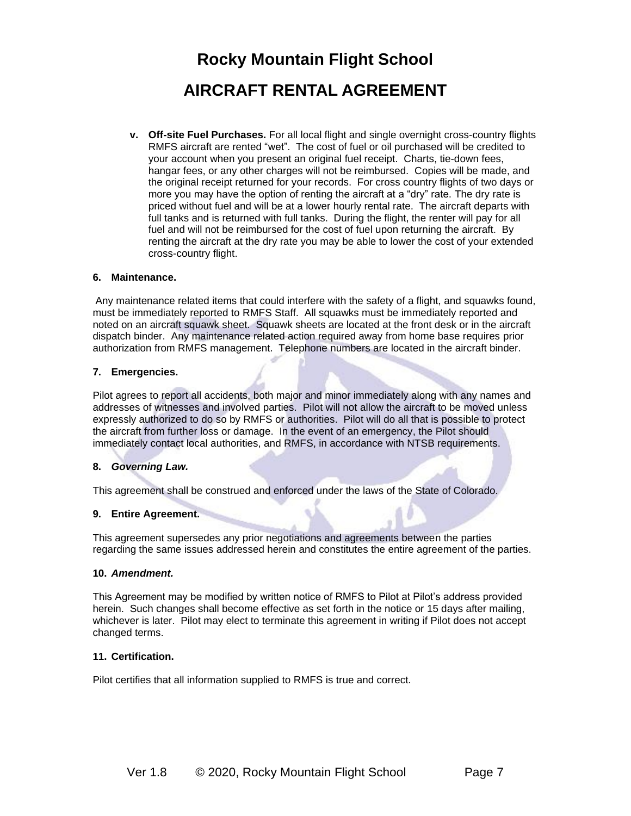**v. Off-site Fuel Purchases.** For all local flight and single overnight cross-country flights RMFS aircraft are rented "wet". The cost of fuel or oil purchased will be credited to your account when you present an original fuel receipt. Charts, tie-down fees, hangar fees, or any other charges will not be reimbursed. Copies will be made, and the original receipt returned for your records. For cross country flights of two days or more you may have the option of renting the aircraft at a "dry" rate. The dry rate is priced without fuel and will be at a lower hourly rental rate. The aircraft departs with full tanks and is returned with full tanks. During the flight, the renter will pay for all fuel and will not be reimbursed for the cost of fuel upon returning the aircraft. By renting the aircraft at the dry rate you may be able to lower the cost of your extended cross-country flight.

### **6. Maintenance.**

Any maintenance related items that could interfere with the safety of a flight, and squawks found, must be immediately reported to RMFS Staff. All squawks must be immediately reported and noted on an aircraft squawk sheet. Squawk sheets are located at the front desk or in the aircraft dispatch binder. Any maintenance related action required away from home base requires prior authorization from RMFS management. Telephone numbers are located in the aircraft binder.

### **7. Emergencies.**

Pilot agrees to report all accidents, both major and minor immediately along with any names and addresses of witnesses and involved parties. Pilot will not allow the aircraft to be moved unless expressly authorized to do so by RMFS or authorities. Pilot will do all that is possible to protect the aircraft from further loss or damage. In the event of an emergency, the Pilot should immediately contact local authorities, and RMFS, in accordance with NTSB requirements.

### **8.** *Governing Law.*

This agreement shall be construed and enforced under the laws of the State of Colorado.

### **9. Entire Agreement.**

This agreement supersedes any prior negotiations and agreements between the parties regarding the same issues addressed herein and constitutes the entire agreement of the parties.

#### **10.** *Amendment.*

This Agreement may be modified by written notice of RMFS to Pilot at Pilot's address provided herein. Such changes shall become effective as set forth in the notice or 15 days after mailing, whichever is later. Pilot may elect to terminate this agreement in writing if Pilot does not accept changed terms.

#### **11. Certification.**

Pilot certifies that all information supplied to RMFS is true and correct.